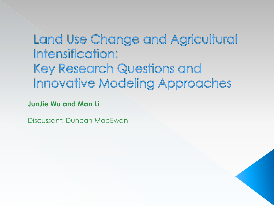Land Use Change and Agricultural Intensification: **Key Research Questions and** Innovative Modeling Approaches

**JunJie Wu and Man Li** 

Discussant: Duncan MacEwan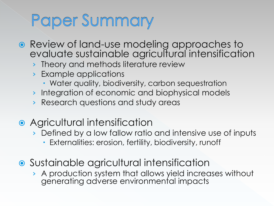## Paper Summary

- Review of land-use modeling approaches to evaluate sustainable agricultural intensification
	- › Theory and methods literature review
	- › Example applications
		- Water quality, biodiversity, carbon sequestration
	- › Integration of economic and biophysical models
	- › Research questions and study areas
- Agricultural intensification
	- › Defined by a low fallow ratio and intensive use of inputs
		- Externalities: erosion, fertility, biodiversity, runoff
- Sustainable agricultural intensification
	- › A production system that allows yield increases without generating adverse environmental impacts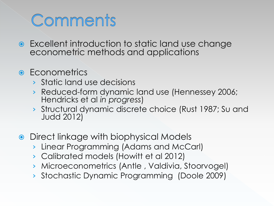## Comments

 Excellent introduction to static land use change econometric methods and applications

## • Econometrics

- › Static land use decisions
- › Reduced-form dynamic land use (Hennessey 2006; Hendricks et al *in progress*)
- › Structural dynamic discrete choice (Rust 1987; Su and Judd 2012)
- Direct linkage with biophysical Models
	- › Linear Programming (Adams and McCarl)
	- › Calibrated models (Howitt et al 2012)
	- › Microeconometrics (Antle , Valdivia, Stoorvogel)
	- › Stochastic Dynamic Programming (Doole 2009)